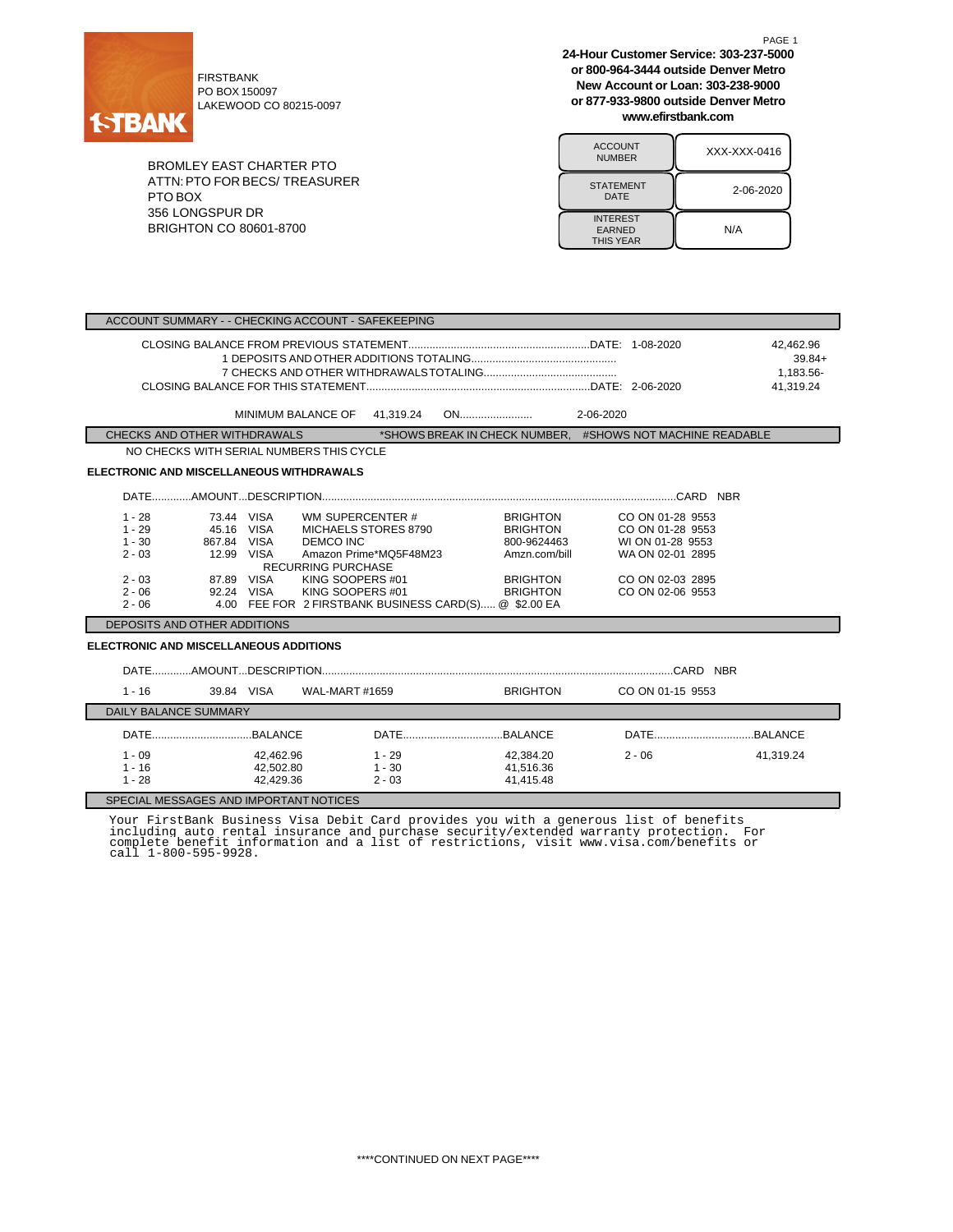

FIRSTBANK PO BOX 150097 LAKEWOOD CO 80215-0097

BROMLEY EAST CHARTER PTO ATTN:PTO FOR BECS/ TREASURER PTO BOX 356 LONGSPUR DR BRIGHTON CO 80601-8700

**24-Hour Customer Service: 303-237-5000 or 800-964-3444 outside Denver Metro New Account or Loan: 303-238-9000 or 877-933-9800 outside Denver Metro www.efirstbank.com**

PAGE 1

| <b>ACCOUNT</b><br><b>NUMBER</b>                      | XXX-XXX-0416 |
|------------------------------------------------------|--------------|
| <b>STATEMENT</b><br>DATE                             | 2-06-2020    |
| <b>INTEREST</b><br><b>EARNED</b><br><b>THIS YEAR</b> | N/A          |

| ACCOUNT SUMMARY - - CHECKING ACCOUNT - SAFEKEEPING                   |                                                                                                                                                                                                |                                                |                                                                                                          |                                                                                                                      |                                                 |
|----------------------------------------------------------------------|------------------------------------------------------------------------------------------------------------------------------------------------------------------------------------------------|------------------------------------------------|----------------------------------------------------------------------------------------------------------|----------------------------------------------------------------------------------------------------------------------|-------------------------------------------------|
|                                                                      |                                                                                                                                                                                                |                                                |                                                                                                          |                                                                                                                      | 42,462.96<br>$39.84+$<br>1.183.56-<br>41.319.24 |
|                                                                      | MINIMUM BALANCE OF 41,319.24                                                                                                                                                                   |                                                |                                                                                                          |                                                                                                                      |                                                 |
| CHECKS AND OTHER WITHDRAWALS                                         |                                                                                                                                                                                                |                                                |                                                                                                          | *SHOWS BREAK IN CHECK NUMBER. #SHOWS NOT MACHINE READABLE                                                            |                                                 |
|                                                                      | NO CHECKS WITH SERIAL NUMBERS THIS CYCLE                                                                                                                                                       |                                                |                                                                                                          |                                                                                                                      |                                                 |
| <b>ELECTRONIC AND MISCELLANEOUS WITHDRAWALS</b>                      |                                                                                                                                                                                                |                                                |                                                                                                          |                                                                                                                      |                                                 |
|                                                                      |                                                                                                                                                                                                |                                                |                                                                                                          |                                                                                                                      |                                                 |
| $1 - 28$<br>$1 - 29$<br>$1 - 30$<br>$2 - 03$<br>$2 - 03$<br>$2 - 06$ | 73.44 VISA<br>WM SUPERCENTER #<br>45.16 VISA<br>867.84 VISA<br><b>DEMCO INC</b><br>12.99 VISA<br><b>RECURRING PURCHASE</b><br>KING SOOPERS #01<br>87.89 VISA<br>92.24 VISA<br>KING SOOPERS #01 | MICHAELS STORES 8790<br>Amazon Prime*MQ5F48M23 | <b>BRIGHTON</b><br><b>BRIGHTON</b><br>800-9624463<br>Amzn.com/bill<br><b>BRIGHTON</b><br><b>BRIGHTON</b> | CO ON 01-28 9553<br>CO ON 01-28 9553<br>WI ON 01-28 9553<br>WA ON 02-01 2895<br>CO ON 02-03 2895<br>CO ON 02-06 9553 |                                                 |
| $2 - 06$<br>4.00 FEE FOR 2 FIRSTBANK BUSINESS CARD(S) @ \$2.00 EA    |                                                                                                                                                                                                |                                                |                                                                                                          |                                                                                                                      |                                                 |
| DEPOSITS AND OTHER ADDITIONS                                         |                                                                                                                                                                                                |                                                |                                                                                                          |                                                                                                                      |                                                 |
| <b>ELECTRONIC AND MISCELLANEOUS ADDITIONS</b>                        |                                                                                                                                                                                                |                                                |                                                                                                          |                                                                                                                      |                                                 |
|                                                                      |                                                                                                                                                                                                |                                                |                                                                                                          |                                                                                                                      |                                                 |
| $1 - 16$                                                             | 39.84 VISA<br>WAL-MART #1659                                                                                                                                                                   |                                                | <b>BRIGHTON</b>                                                                                          | CO ON 01-15 9553                                                                                                     |                                                 |
| <b>DAILY BALANCE SUMMARY</b>                                         |                                                                                                                                                                                                |                                                |                                                                                                          |                                                                                                                      |                                                 |
|                                                                      |                                                                                                                                                                                                |                                                |                                                                                                          |                                                                                                                      |                                                 |
| $1 - 09$<br>$1 - 16$<br>$1 - 28$                                     | 42,462.96<br>42,502.80<br>42,429.36                                                                                                                                                            | $1 - 29$<br>$1 - 30$<br>$2 - 03$               | 42,384.20<br>41,516.36<br>41,415.48                                                                      | $2 - 06$                                                                                                             | 41,319.24                                       |
| SPECIAL MESSAGES AND IMPORTANT NOTICES                               |                                                                                                                                                                                                |                                                |                                                                                                          |                                                                                                                      |                                                 |

Your FirstBank Business Visa Debit Card provides you with a generous list of benefits<br>including auto rental insurance and purchase security/extended warranty protection. For<br>complete benefit information and a list of restr